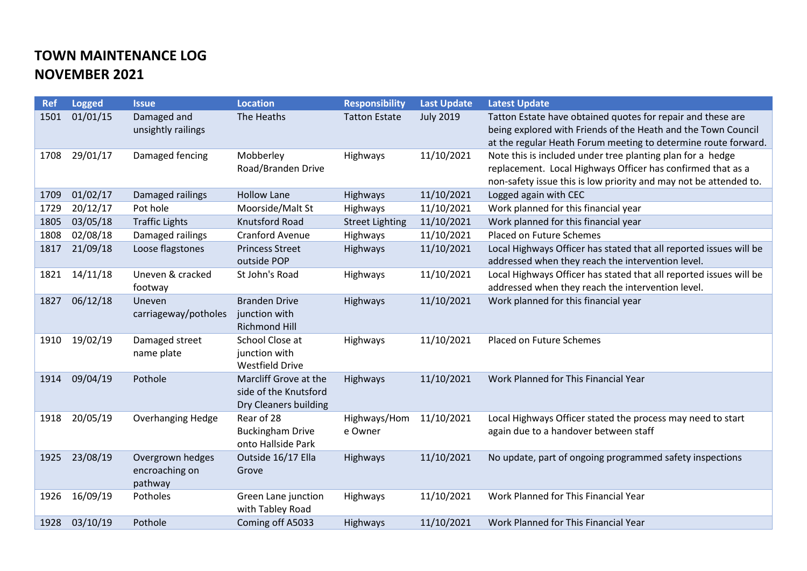## **TOWN MAINTENANCE LOG NOVEMBER 2021**

| <b>Ref</b> | <b>Logged</b> | <b>Issue</b>                                  | <b>Location</b>                                                         | <b>Responsibility</b>   | <b>Last Update</b> | <b>Latest Update</b>                                                                                                                                                                           |
|------------|---------------|-----------------------------------------------|-------------------------------------------------------------------------|-------------------------|--------------------|------------------------------------------------------------------------------------------------------------------------------------------------------------------------------------------------|
| 1501       | 01/01/15      | Damaged and<br>unsightly railings             | The Heaths                                                              | <b>Tatton Estate</b>    | <b>July 2019</b>   | Tatton Estate have obtained quotes for repair and these are<br>being explored with Friends of the Heath and the Town Council<br>at the regular Heath Forum meeting to determine route forward. |
| 1708       | 29/01/17      | Damaged fencing                               | Mobberley<br>Road/Branden Drive                                         | Highways                | 11/10/2021         | Note this is included under tree planting plan for a hedge<br>replacement. Local Highways Officer has confirmed that as a<br>non-safety issue this is low priority and may not be attended to. |
| 1709       | 01/02/17      | Damaged railings                              | <b>Hollow Lane</b>                                                      | Highways                | 11/10/2021         | Logged again with CEC                                                                                                                                                                          |
| 1729       | 20/12/17      | Pot hole                                      | Moorside/Malt St                                                        | Highways                | 11/10/2021         | Work planned for this financial year                                                                                                                                                           |
| 1805       | 03/05/18      | <b>Traffic Lights</b>                         | Knutsford Road                                                          | <b>Street Lighting</b>  | 11/10/2021         | Work planned for this financial year                                                                                                                                                           |
| 1808       | 02/08/18      | Damaged railings                              | <b>Cranford Avenue</b>                                                  | Highways                | 11/10/2021         | Placed on Future Schemes                                                                                                                                                                       |
| 1817       | 21/09/18      | Loose flagstones                              | <b>Princess Street</b><br>outside POP                                   | Highways                | 11/10/2021         | Local Highways Officer has stated that all reported issues will be<br>addressed when they reach the intervention level.                                                                        |
| 1821       | 14/11/18      | Uneven & cracked<br>footway                   | St John's Road                                                          | Highways                | 11/10/2021         | Local Highways Officer has stated that all reported issues will be<br>addressed when they reach the intervention level.                                                                        |
| 1827       | 06/12/18      | Uneven<br>carriageway/potholes                | <b>Branden Drive</b><br>junction with<br><b>Richmond Hill</b>           | <b>Highways</b>         | 11/10/2021         | Work planned for this financial year                                                                                                                                                           |
| 1910       | 19/02/19      | Damaged street<br>name plate                  | School Close at<br>junction with<br><b>Westfield Drive</b>              | Highways                | 11/10/2021         | Placed on Future Schemes                                                                                                                                                                       |
| 1914       | 09/04/19      | Pothole                                       | Marcliff Grove at the<br>side of the Knutsford<br>Dry Cleaners building | Highways                | 11/10/2021         | Work Planned for This Financial Year                                                                                                                                                           |
| 1918       | 20/05/19      | <b>Overhanging Hedge</b>                      | Rear of 28<br><b>Buckingham Drive</b><br>onto Hallside Park             | Highways/Hom<br>e Owner | 11/10/2021         | Local Highways Officer stated the process may need to start<br>again due to a handover between staff                                                                                           |
| 1925       | 23/08/19      | Overgrown hedges<br>encroaching on<br>pathway | Outside 16/17 Ella<br>Grove                                             | Highways                | 11/10/2021         | No update, part of ongoing programmed safety inspections                                                                                                                                       |
| 1926       | 16/09/19      | Potholes                                      | Green Lane junction<br>with Tabley Road                                 | Highways                | 11/10/2021         | Work Planned for This Financial Year                                                                                                                                                           |
| 1928       | 03/10/19      | Pothole                                       | Coming off A5033                                                        | <b>Highways</b>         | 11/10/2021         | Work Planned for This Financial Year                                                                                                                                                           |
|            |               |                                               |                                                                         |                         |                    |                                                                                                                                                                                                |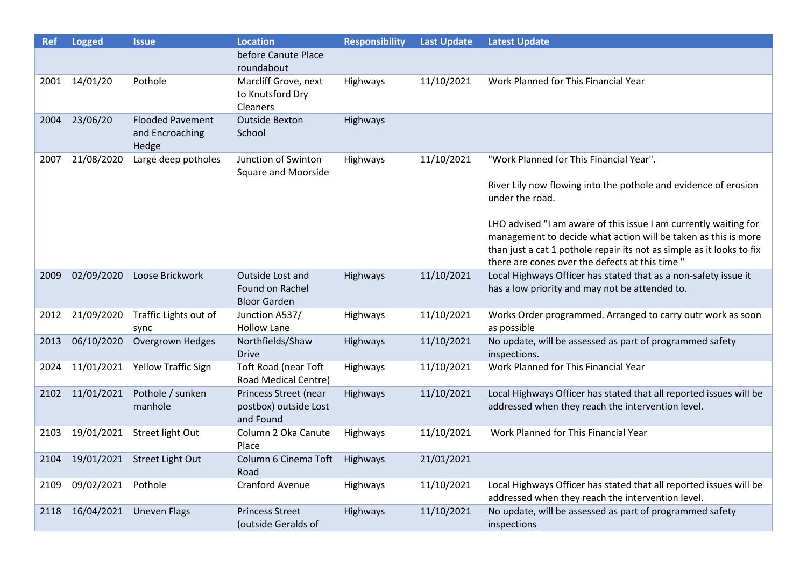| <b>Ref</b> | <b>Logged</b> | <b>Issue</b>                                        | <b>Location</b>                                             | <b>Responsibility</b> | <b>Last Update</b> | <b>Latest Update</b>                                                                                                                                                                                                                                           |
|------------|---------------|-----------------------------------------------------|-------------------------------------------------------------|-----------------------|--------------------|----------------------------------------------------------------------------------------------------------------------------------------------------------------------------------------------------------------------------------------------------------------|
|            |               |                                                     | before Canute Place<br>roundabout                           |                       |                    |                                                                                                                                                                                                                                                                |
| 2001       | 14/01/20      | Pothole                                             | Marcliff Grove, next<br>to Knutsford Dry<br>Cleaners        | Highways              | 11/10/2021         | Work Planned for This Financial Year                                                                                                                                                                                                                           |
| 2004       | 23/06/20      | <b>Flooded Pavement</b><br>and Encroaching<br>Hedge | <b>Outside Bexton</b><br>School                             | Highways              |                    |                                                                                                                                                                                                                                                                |
| 2007       | 21/08/2020    | Large deep potholes                                 | Junction of Swinton<br><b>Square and Moorside</b>           | Highways              | 11/10/2021         | "Work Planned for This Financial Year".                                                                                                                                                                                                                        |
|            |               |                                                     |                                                             |                       |                    | River Lily now flowing into the pothole and evidence of erosion<br>under the road.                                                                                                                                                                             |
|            |               |                                                     |                                                             |                       |                    | LHO advised "I am aware of this issue I am currently waiting for<br>management to decide what action will be taken as this is more<br>than just a cat 1 pothole repair its not as simple as it looks to fix<br>there are cones over the defects at this time " |
| 2009       | 02/09/2020    | Loose Brickwork                                     | Outside Lost and<br>Found on Rachel<br><b>Bloor Garden</b>  | Highways              | 11/10/2021         | Local Highways Officer has stated that as a non-safety issue it<br>has a low priority and may not be attended to.                                                                                                                                              |
| 2012       | 21/09/2020    | Traffic Lights out of<br>sync                       | Junction A537/<br><b>Hollow Lane</b>                        | Highways              | 11/10/2021         | Works Order programmed. Arranged to carry outr work as soon<br>as possible                                                                                                                                                                                     |
| 2013       | 06/10/2020    | Overgrown Hedges                                    | Northfields/Shaw<br><b>Drive</b>                            | Highways              | 11/10/2021         | No update, will be assessed as part of programmed safety<br>inspections.                                                                                                                                                                                       |
| 2024       | 11/01/2021    | <b>Yellow Traffic Sign</b>                          | <b>Toft Road (near Toft</b><br>Road Medical Centre)         | Highways              | 11/10/2021         | Work Planned for This Financial Year                                                                                                                                                                                                                           |
| 2102       | 11/01/2021    | Pothole / sunken<br>manhole                         | Princess Street (near<br>postbox) outside Lost<br>and Found | Highways              | 11/10/2021         | Local Highways Officer has stated that all reported issues will be<br>addressed when they reach the intervention level.                                                                                                                                        |
| 2103       |               | 19/01/2021 Street light Out                         | Column 2 Oka Canute<br>Place                                | Highways              | 11/10/2021         | Work Planned for This Financial Year                                                                                                                                                                                                                           |
| 2104       |               | 19/01/2021 Street Light Out                         | Column 6 Cinema Toft<br>Road                                | Highways              | 21/01/2021         |                                                                                                                                                                                                                                                                |
| 2109       | 09/02/2021    | Pothole                                             | <b>Cranford Avenue</b>                                      | Highways              | 11/10/2021         | Local Highways Officer has stated that all reported issues will be<br>addressed when they reach the intervention level.                                                                                                                                        |
| 2118       | 16/04/2021    | <b>Uneven Flags</b>                                 | <b>Princess Street</b><br>(outside Geralds of               | <b>Highways</b>       | 11/10/2021         | No update, will be assessed as part of programmed safety<br>inspections                                                                                                                                                                                        |